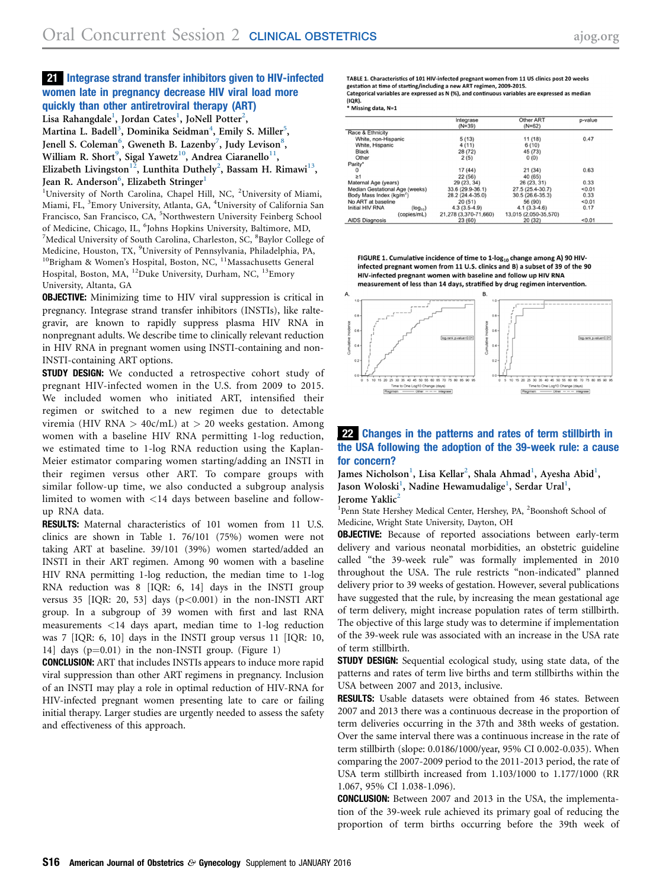## 21 Integrase strand transfer inhibitors given to HIV-infected women late in pregnancy decrease HIV viral load more quickly than other antiretroviral therapy (ART)

Lisa Rahangdale<sup>1</sup>, Jordan Cates<sup>1</sup>, JoNell Potter<sup>2</sup>,

Martina L. Badell<sup>3</sup>, Dominika Seidman<sup>4</sup>, Emily S. Miller<sup>5</sup>, Jenell S. Coleman<sup>6</sup>, Gweneth B. Lazenby<sup>7</sup>, Judy Levison<sup>8</sup>, William R. Short $^9$ , Sigal Yawetz $^{10}$ , Andrea Ciaranello $^{11}$ , Elizabeth Livingston<sup>12</sup>, Lunthita Duthely<sup>2</sup>, Bassam H. Rimawi<sup>13</sup>, Jean R. Anderson<sup>6</sup>, Elizabeth Stringer<sup>1</sup>

<sup>1</sup>University of North Carolina, Chapel Hill, NC, <sup>2</sup>University of Miami, Miami, FL, <sup>3</sup>Emory University, Atlanta, GA, <sup>4</sup>University of California San Francisco, San Francisco, CA, <sup>5</sup>Northwestern University Feinberg School of Medicine, Chicago, IL, <sup>6</sup>Johns Hopkins University, Baltimore, MD,<br><sup>7</sup>Medical University of South Carolina, Charleston, SC, <sup>8</sup>Bayler Colleg Medical University of South Carolina, Charleston, SC, <sup>8</sup>Baylor College of Medicine, Houston, TX, <sup>9</sup>University of Pennsylvania, Philadelphia, PA, <sup>10</sup>Brigham & Women's Hospital, Boston, NC, <sup>11</sup>Massachusetts General Hospital, Boston, MA, <sup>12</sup>Duke University, Durham, NC, <sup>13</sup>Emory University, Altanta, GA

OBJECTIVE: Minimizing time to HIV viral suppression is critical in pregnancy. Integrase strand transfer inhibitors (INSTIs), like raltegravir, are known to rapidly suppress plasma HIV RNA in nonpregnant adults. We describe time to clinically relevant reduction in HIV RNA in pregnant women using INSTI-containing and non-INSTI-containing ART options.

**STUDY DESIGN:** We conducted a retrospective cohort study of pregnant HIV-infected women in the U.S. from 2009 to 2015. We included women who initiated ART, intensified their regimen or switched to a new regimen due to detectable viremia (HIV RNA  $>$  40c/mL) at  $>$  20 weeks gestation. Among women with a baseline HIV RNA permitting 1-log reduction, we estimated time to 1-log RNA reduction using the Kaplan-Meier estimator comparing women starting/adding an INSTI in their regimen versus other ART. To compare groups with similar follow-up time, we also conducted a subgroup analysis limited to women with <14 days between baseline and followup RNA data.

RESULTS: Maternal characteristics of 101 women from 11 U.S. clinics are shown in Table 1. 76/101 (75%) women were not taking ART at baseline. 39/101 (39%) women started/added an INSTI in their ART regimen. Among 90 women with a baseline HIV RNA permitting 1-log reduction, the median time to 1-log RNA reduction was 8 [IQR: 6, 14] days in the INSTI group versus 35  $[IQR: 20, 53]$  days  $(p<0.001)$  in the non-INSTI ART group. In a subgroup of 39 women with first and last RNA measurements <14 days apart, median time to 1-log reduction was 7 [IQR: 6, 10] days in the INSTI group versus 11 [IQR: 10, 14] days  $(p=0.01)$  in the non-INSTI group. (Figure 1)

CONCLUSION: ART that includes INSTIs appears to induce more rapid viral suppression than other ART regimens in pregnancy. Inclusion of an INSTI may play a role in optimal reduction of HIV-RNA for HIV-infected pregnant women presenting late to care or failing initial therapy. Larger studies are urgently needed to assess the safety and effectiveness of this approach.

TABLE 1. Characteristics of 101 HIV-infected pregnant women from 11 US clinics post 20 weeks gestation at time of starting/including a new ART regimen, 2009-2015. Categorical variables are expressed as N (%), and continuous variables are expressed as median  $(IQR)$ .

|                                      |              | Integrase             | <b>Other ART</b>      | p-value |
|--------------------------------------|--------------|-----------------------|-----------------------|---------|
|                                      |              | $(N=39)$              | $(N=62)$              |         |
| Race & Ethnicity                     |              |                       |                       |         |
| White, non-Hispanic                  |              | 5(13)                 | 11 (18)               | 0.47    |
| White, Hispanic                      |              | 4 (11)                | 6(10)                 |         |
| <b>Black</b>                         |              | 28 (72)               | 45 (73)               |         |
| Other                                |              | 2(5)                  | 0(0)                  |         |
| Parity*                              |              |                       |                       |         |
| 0                                    |              | 17(44)                | 21(34)                | 0.63    |
| $\geq 1$                             |              | 22 (56)               | 40 (65)               |         |
| Maternal Age (years)                 |              | 29 (23, 34)           | 26 (23, 31)           | 0.33    |
| Median Gestational Age (weeks)       |              | 33.6 (29.9-36.1)      | 27.5 (25.4-30.7)      | < 0.01  |
| Body Mass Index (kg/m <sup>2</sup> ) |              | 28.2 (24.4-35.0)      | $30.5(26.6-35.3)$     | 0.33    |
| No ART at baseline                   |              | 20(51)                | 56 (90)               | < 0.01  |
| Initial HIV RNA                      | $(log_{10})$ | $4.3(3.5-4.9)$        | $4.1(3.3-4.6)$        | 0.17    |
|                                      | (copies/mL)  | 21.278 (3.370-71.660) | 13.015 (2.050-35.570) |         |
| AIDS Diagnosis                       |              | 23(60)                | 20(32)                | < 0.01  |

FIGURE 1. Cumulative incidence of time to 1-log<sub>10</sub> change among A) 90 HIVinfected pregnant women from 11 U.S. clinics and B) a subset of 39 of the 90 HIV-infected pregnant women with baseline and follow up HIV RNA measurement of less than 14 days, stratified by drug regimen intervention



## 22 Changes in the patterns and rates of term stillbirth in the USA following the adoption of the 39-week rule: a cause for concern?

James Nicholson<sup>1</sup>, Lisa Kellar<sup>2</sup>, Shala Ahmad<sup>1</sup>, Ayesha Abid<sup>1</sup>, Jason Woloski<sup>1</sup>, Nadine Hewamudalige<sup>1</sup>, Serdar Ural<sup>1</sup>, Jerome Yaklic<sup>2</sup>

<sup>1</sup>Penn State Hershey Medical Center, Hershey, PA, <sup>2</sup>Boonshoft School of Medicine, Wright State University, Dayton, OH

**OBJECTIVE:** Because of reported associations between early-term delivery and various neonatal morbidities, an obstetric guideline called "the 39-week rule" was formally implemented in 2010 throughout the USA. The rule restricts "non-indicated" planned delivery prior to 39 weeks of gestation. However, several publications have suggested that the rule, by increasing the mean gestational age of term delivery, might increase population rates of term stillbirth. The objective of this large study was to determine if implementation of the 39-week rule was associated with an increase in the USA rate of term stillbirth.

**STUDY DESIGN:** Sequential ecological study, using state data, of the patterns and rates of term live births and term stillbirths within the USA between 2007 and 2013, inclusive.

RESULTS: Usable datasets were obtained from 46 states. Between 2007 and 2013 there was a continuous decrease in the proportion of term deliveries occurring in the 37th and 38th weeks of gestation. Over the same interval there was a continuous increase in the rate of term stillbirth (slope: 0.0186/1000/year, 95% CI 0.002-0.035). When comparing the 2007-2009 period to the 2011-2013 period, the rate of USA term stillbirth increased from 1.103/1000 to 1.177/1000 (RR 1.067, 95% CI 1.038-1.096).

CONCLUSION: Between 2007 and 2013 in the USA, the implementation of the 39-week rule achieved its primary goal of reducing the proportion of term births occurring before the 39th week of